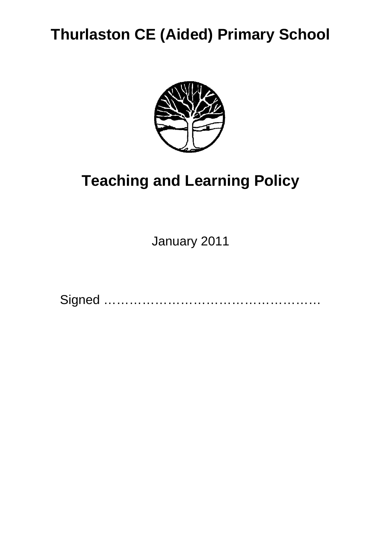## **Thurlaston CE (Aided) Primary School**



# **Teaching and Learning Policy**

January 2011

Signed ……………………………………………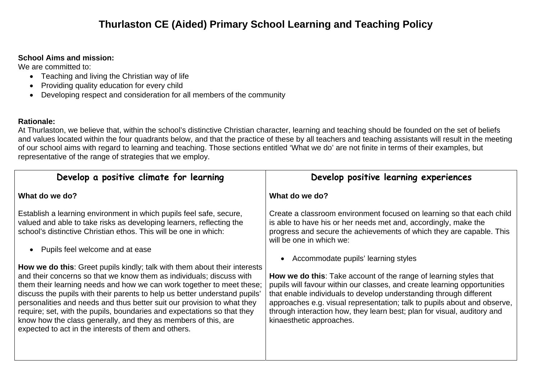## **Thurlaston CE (Aided) Primary School Learning and Teaching Policy**

### **School Aims and mission:**

We are committed to:

- Teaching and living the Christian way of life
- Providing quality education for every child
- Developing respect and consideration for all members of the community

### **Rationale:**

At Thurlaston, we believe that, within the school's distinctive Christian character, learning and teaching should be founded on the set of beliefs and values located within the four quadrants below, and that the practice of these by all teachers and teaching assistants will result in the meeting of our school aims with regard to learning and teaching. Those sections entitled 'What we do' are not finite in terms of their examples, but representative of the range of strategies that we employ.

| Develop a positive climate for learning                                                                                                                                                                                                                                                                                                                                                                                                                                                                                                                                                         | Develop positive learning experiences                                                                                                                                                                                                                                                                                                                                                                         |
|-------------------------------------------------------------------------------------------------------------------------------------------------------------------------------------------------------------------------------------------------------------------------------------------------------------------------------------------------------------------------------------------------------------------------------------------------------------------------------------------------------------------------------------------------------------------------------------------------|---------------------------------------------------------------------------------------------------------------------------------------------------------------------------------------------------------------------------------------------------------------------------------------------------------------------------------------------------------------------------------------------------------------|
| What do we do?                                                                                                                                                                                                                                                                                                                                                                                                                                                                                                                                                                                  | What do we do?                                                                                                                                                                                                                                                                                                                                                                                                |
| Establish a learning environment in which pupils feel safe, secure,<br>valued and able to take risks as developing learners, reflecting the<br>school's distinctive Christian ethos. This will be one in which:<br>Pupils feel welcome and at ease                                                                                                                                                                                                                                                                                                                                              | Create a classroom environment focused on learning so that each child<br>is able to have his or her needs met and, accordingly, make the<br>progress and secure the achievements of which they are capable. This<br>will be one in which we:<br>Accommodate pupils' learning styles                                                                                                                           |
| <b>How we do this:</b> Greet pupils kindly; talk with them about their interests<br>and their concerns so that we know them as individuals; discuss with<br>them their learning needs and how we can work together to meet these;<br>discuss the pupils with their parents to help us better understand pupils'<br>personalities and needs and thus better suit our provision to what they<br>require; set, with the pupils, boundaries and expectations so that they<br>know how the class generally, and they as members of this, are<br>expected to act in the interests of them and others. | <b>How we do this:</b> Take account of the range of learning styles that<br>pupils will favour within our classes, and create learning opportunities<br>that enable individuals to develop understanding through different<br>approaches e.g. visual representation; talk to pupils about and observe,<br>through interaction how, they learn best; plan for visual, auditory and<br>kinaesthetic approaches. |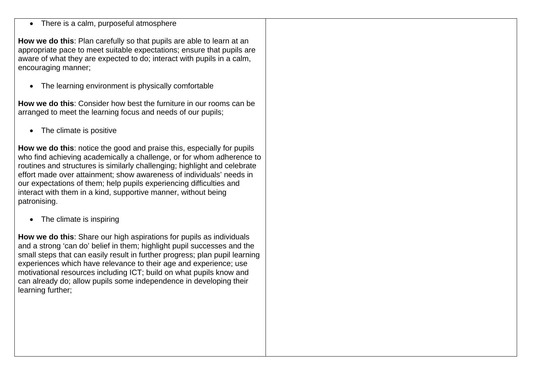• There is a calm, purposeful atmosphere

**How we do this**: Plan carefully so that pupils are able to learn at an appropriate pace to meet suitable expectations; ensure that pupils are aware of what they are expected to do; interact with pupils in a calm, encouraging manner;

• The learning environment is physically comfortable

**How we do this**: Consider how best the furniture in our rooms can be arranged to meet the learning focus and needs of our pupils;

• The climate is positive

**How we do this**: notice the good and praise this, especially for pupils who find achieving academically a challenge, or for whom adherence to routines and structures is similarly challenging; highlight and celebrate effort made over attainment; show awareness of individuals' needs in our expectations of them; help pupils experiencing difficulties and interact with them in a kind, supportive manner, without being patronising.

• The climate is inspiring

**How we do this**: Share our high aspirations for pupils as individuals and a strong 'can do' belief in them; highlight pupil successes and the small steps that can easily result in further progress; plan pupil learning experiences which have relevance to their age and experience; use motivational resources including ICT; build on what pupils know and can already do; allow pupils some independence in developing their learning further;